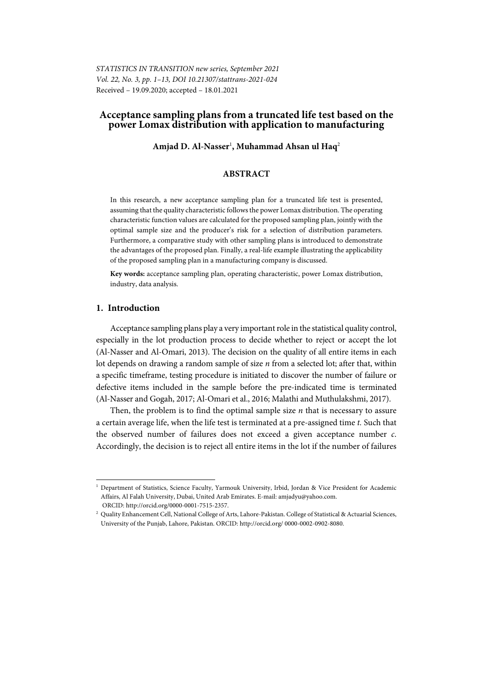# **Acceptance sampling plans from a truncated life test based on the power Lomax distribution with application to manufacturing**

## **Amjad D. Al-Nasser**<sup>1</sup> **, Muhammad Ahsan ul Haq**<sup>2</sup>

## **ABSTRACT**

In this research, a new acceptance sampling plan for a truncated life test is presented, assuming that the quality characteristic follows the power Lomax distribution. The operating characteristic function values are calculated for the proposed sampling plan, jointly with the optimal sample size and the producer's risk for a selection of distribution parameters. Furthermore, a comparative study with other sampling plans is introduced to demonstrate the advantages of the proposed plan. Finally, a real-life example illustrating the applicability of the proposed sampling plan in a manufacturing company is discussed.

**Key words:** acceptance sampling plan, operating characteristic, power Lomax distribution, industry, data analysis.

## **1. Introduction**

l

Acceptance sampling plans play a very important role in the statistical quality control, especially in the lot production process to decide whether to reject or accept the lot (Al-Nasser and Al-Omari, 2013). The decision on the quality of all entire items in each lot depends on drawing a random sample of size *n* from a selected lot; after that, within a specific timeframe, testing procedure is initiated to discover the number of failure or defective items included in the sample before the pre-indicated time is terminated (Al-Nasser and Gogah, 2017; Al-Omari et al., 2016; Malathi and Muthulakshmi, 2017).

Then, the problem is to find the optimal sample size *n* that is necessary to assure a certain average life, when the life test is terminated at a pre-assigned time *t.* Such that the observed number of failures does not exceed a given acceptance number *c*. Accordingly, the decision is to reject all entire items in the lot if the number of failures

<sup>&</sup>lt;sup>1</sup> Department of Statistics, Science Faculty, Yarmouk University, Irbid, Jordan & Vice President for Academic Affairs, Al Falah University, Dubai, United Arab Emirates. E-mail: amjadyu@yahoo.com. ORCID: http://orcid.org/0000-0001-7515-2357. 2

<sup>&</sup>lt;sup>2</sup> Quality Enhancement Cell, National College of Arts, Lahore-Pakistan. College of Statistical & Actuarial Sciences, University of the Punjab, Lahore, Pakistan. ORCID: http://orcid.org/ 0000-0002-0902-8080.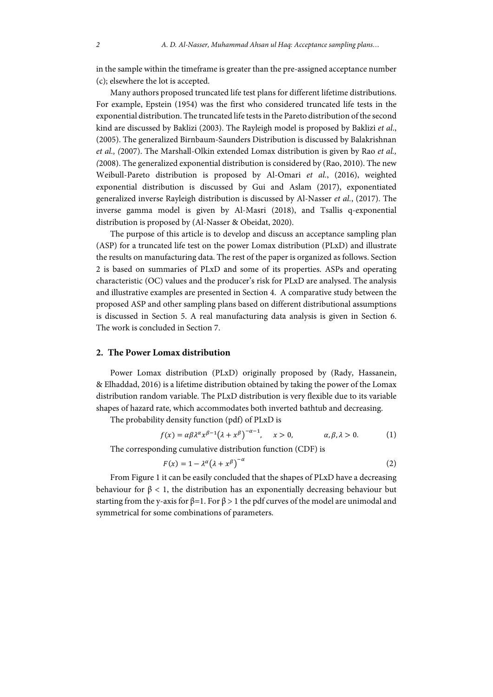in the sample within the timeframe is greater than the pre-assigned acceptance number (c); elsewhere the lot is accepted.

Many authors proposed truncated life test plans for different lifetime distributions. For example, Epstein (1954) was the first who considered truncated life tests in the exponential distribution. The truncated life tests in the Pareto distribution of the second kind are discussed by Baklizi (2003). The Rayleigh model is proposed by Baklizi *et al*., (2005). The generalized Birnbaum-Saunders Distribution is discussed by Balakrishnan *et al., (*2007). The Marshall-Olkin extended Lomax distribution is given by Rao *et al., (*2008). The generalized exponential distribution is considered by (Rao, 2010). The new Weibull-Pareto distribution is proposed by Al-Omari *et al.*, (2016), weighted exponential distribution is discussed by Gui and Aslam (2017), exponentiated generalized inverse Rayleigh distribution is discussed by Al-Nasser *et al.*, (2017). The inverse gamma model is given by Al-Masri (2018), and Tsallis q-exponential distribution is proposed by (Al-Nasser & Obeidat, 2020).

The purpose of this article is to develop and discuss an acceptance sampling plan (ASP) for a truncated life test on the power Lomax distribution (PLxD) and illustrate the results on manufacturing data. The rest of the paper is organized as follows. Section 2 is based on summaries of PLxD and some of its properties. ASPs and operating characteristic (OC) values and the producer's risk for PLxD are analysed. The analysis and illustrative examples are presented in Section 4. A comparative study between the proposed ASP and other sampling plans based on different distributional assumptions is discussed in Section 5. A real manufacturing data analysis is given in Section 6. The work is concluded in Section 7.

#### **2. The Power Lomax distribution**

Power Lomax distribution (PLxD) originally proposed by (Rady, Hassanein, & Elhaddad, 2016) is a lifetime distribution obtained by taking the power of the Lomax distribution random variable. The PLxD distribution is very flexible due to its variable shapes of hazard rate, which accommodates both inverted bathtub and decreasing.

The probability density function (pdf) of PLxD is

$$
f(x) = \alpha \beta \lambda^{\alpha} x^{\beta - 1} (\lambda + x^{\beta})^{-\alpha - 1}, \quad x > 0, \qquad \alpha, \beta, \lambda > 0.
$$
 (1)

The corresponding cumulative distribution function (CDF) is

$$
F(x) = 1 - \lambda^{\alpha} (\lambda + x^{\beta})^{-\alpha}
$$
 (2)

From Figure 1 it can be easily concluded that the shapes of PLxD have a decreasing behaviour for  $\beta$  < 1, the distribution has an exponentially decreasing behaviour but starting from the y-axis for  $\beta=1$ . For  $\beta>1$  the pdf curves of the model are unimodal and symmetrical for some combinations of parameters.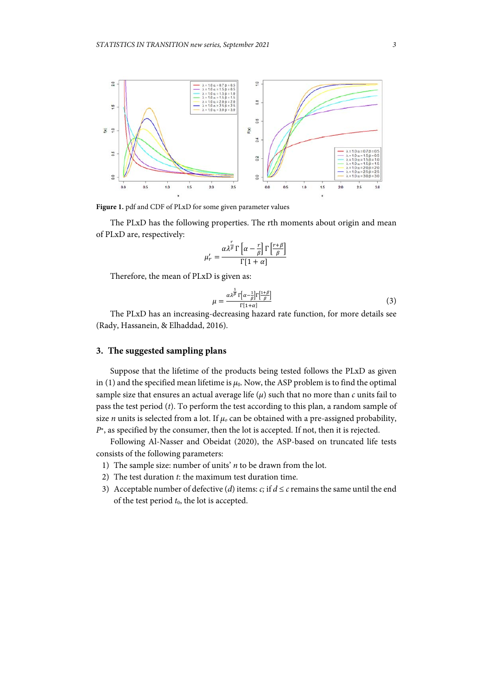

**Figure 1.** pdf and CDF of PLxD for some given parameter values

The PLxD has the following properties. The rth moments about origin and mean of PLxD are, respectively:

$$
\mu'_{r} = \frac{\alpha \lambda^{\frac{r}{\beta}} \Gamma\left[\alpha - \frac{r}{\beta}\right] \Gamma\left[\frac{r+\beta}{\beta}\right]}{\Gamma[1+\alpha]}
$$

Therefore, the mean of PLxD is given as:

$$
\mu = \frac{\alpha \lambda^{\frac{1}{\beta}} \Gamma[\alpha - \frac{1}{\beta}] \Gamma[\frac{1+\beta}{\beta}]}{\Gamma[1+\alpha]}
$$
(3)

The PLxD has an increasing-decreasing hazard rate function, for more details see (Rady, Hassanein, & Elhaddad, 2016).

# **3. The suggested sampling plans**

Suppose that the lifetime of the products being tested follows the PLxD as given in (1) and the specified mean lifetime is  $\mu_0$ . Now, the ASP problem is to find the optimal sample size that ensures an actual average life (*μ*) such that no more than *c* units fail to pass the test period (*t*). To perform the test according to this plan, a random sample of size *n* units is selected from a lot. If  $\mu_0$  can be obtained with a pre-assigned probability, *P*<sup>∗</sup>, as specified by the consumer, then the lot is accepted. If not, then it is rejected.

Following Al-Nasser and Obeidat (2020), the ASP-based on truncated life tests consists of the following parameters:

- 1) The sample size: number of units' *n* to be drawn from the lot.
- 2) The test duration *t*: the maximum test duration time.
- 3) Acceptable number of defective (*d*) items: *c*; if  $d \le c$  remains the same until the end of the test period  $t_0$ , the lot is accepted.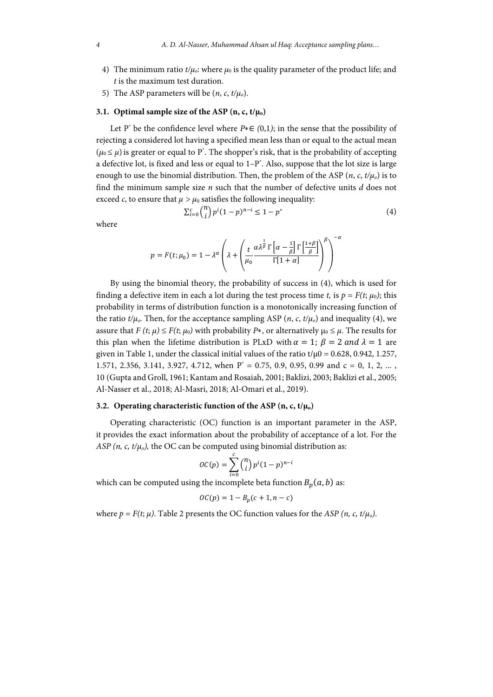- 4) The minimum ratio  $t/\mu_o$ : where  $\mu_0$  is the quality parameter of the product life; and *t* is the maximum test duration.
- 5) The ASP parameters will be  $(n, c, t/\mu_o)$ .

### **3.1. Optimal sample size of the ASP**  $(n, c, t/\mu_0)$

Let P\* be the confidence level where *P*∗∈ *(*0,1*)*; in the sense that the possibility of rejecting a considered lot having a specified mean less than or equal to the actual mean  $(\mu_0 \leq \mu)$  is greater or equal to P<sup>\*</sup>. The shopper's risk, that is the probability of accepting a defective lot, is fixed and less or equal to  $1-P^*$ . Also, suppose that the lot size is large enough to use the binomial distribution. Then, the problem of the ASP  $(n, c, t/\mu_0)$  is to find the minimum sample size *n* such that the number of defective units *d* does not exceed *c*, to ensure that  $\mu > \mu_0$  satisfies the following inequality:

$$
\sum_{i=0}^{c} \binom{n}{i} p^i (1-p)^{n-i} \le 1 - p^* \tag{4}
$$

where

$$
p = F(t; \mu_0) = 1 - \lambda^{\alpha} \left( \lambda + \left( \frac{t}{\mu_0} \frac{\alpha \lambda^{\frac{1}{\beta}} \Gamma\left[\alpha - \frac{1}{\beta}\right] \Gamma\left[\frac{1+\beta}{\beta}\right]}{\Gamma[1+\alpha]} \right)^{\beta} \right)^{-\alpha}
$$

By using the binomial theory, the probability of success in (4), which is used for finding a defective item in each a lot during the test process time *t*, is  $p = F(t; \mu_0)$ ; this probability in terms of distribution function is a monotonically increasing function of the ratio  $t/\mu_o$ . Then, for the acceptance sampling ASP (*n*, *c*,  $t/\mu_o$ ) and inequality (4), we assure that  $F(t; \mu) \leq F(t; \mu_0)$  with probability  $P^*$ , or alternatively  $\mu_0 \leq \mu$ . The results for this plan when the lifetime distribution is PLxD with  $\alpha = 1$ ;  $\beta = 2$  and  $\lambda = 1$  are given in Table 1, under the classical initial values of the ratio  $t/\mu$ 0 = 0.628, 0.942, 1.257, 1.571, 2.356, 3.141, 3.927, 4.712, when  $P^* = 0.75$ , 0.9, 0.95, 0.99 and  $c = 0, 1, 2, ...$ , 10 (Gupta and Groll, 1961; Kantam and Rosaiah, 2001; Baklizi, 2003; Baklizi et al., 2005; Al-Nasser et al., 2018; Al-Masri, 2018; Al-Omari et al., 2019).

### **3.2. Operating characteristic function of the ASP (n, c, t/μ<sub>0</sub>)**

Operating characteristic (OC) function is an important parameter in the ASP, it provides the exact information about the probability of acceptance of a lot. For the *ASP* (*n*, *c*,  $t/\mu_o$ ), the OC can be computed using binomial distribution as:

$$
OC(p) = \sum_{i=0}^{c} {n \choose i} p^i (1-p)^{n-i}
$$

which can be computed using the incomplete beta function  $B_n(a, b)$  as:

$$
\mathit{OC}(p) = 1 - B_p(c+1, n-c)
$$

where  $p = F(t; \mu)$ . Table 2 presents the OC function values for the *ASP* (*n*, *c*,  $t/\mu_0$ ).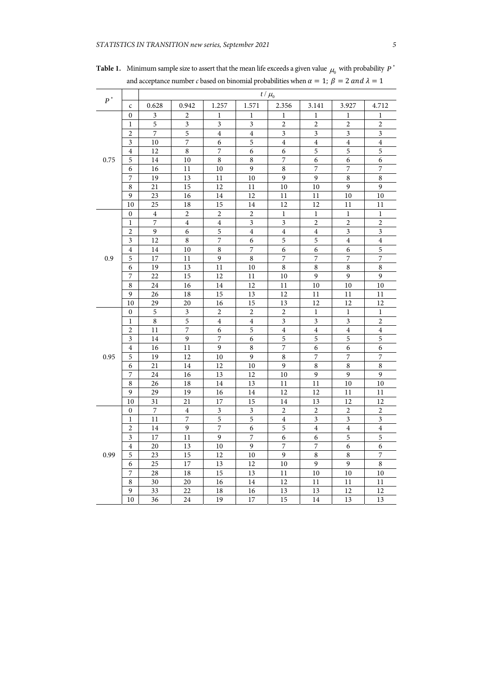|                    |                         |                |                |                          |                         | $t/\mu_0$                        |                         |                         |                         |
|--------------------|-------------------------|----------------|----------------|--------------------------|-------------------------|----------------------------------|-------------------------|-------------------------|-------------------------|
| $\boldsymbol{P}^*$ | $\mathsf{C}$            | 0.628          | 0.942          | 1.257                    | 1.571                   | 2.356                            | 3.141                   | 3.927                   | 4.712                   |
|                    | 0                       | 3              | 2              | $\mathbf{1}$             | 1                       | 1                                | 1                       | $\mathbf{1}$            | $\mathbf{1}$            |
|                    | $\mathbf{1}$            | 5              | 3              | 3                        | 3                       | $\overline{c}$                   | $\overline{c}$          | $\overline{c}$          | $\overline{c}$          |
|                    | $\overline{c}$          | $\overline{7}$ | 5              | $\overline{4}$           | $\overline{4}$          | 3                                | 3                       | 3                       | 3                       |
|                    | 3                       | 10             | 7              | 6                        | 5                       | $\overline{4}$                   | $\overline{\mathbf{4}}$ | $\overline{4}$          | $\overline{4}$          |
|                    | $\overline{4}$          | 12             | $\overline{8}$ | $\overline{7}$           | 6                       | 6                                | $\overline{5}$          | $\overline{5}$          | $\overline{5}$          |
| 0.75               | 5                       | 14             | 10             | $\,8\,$                  | 8                       | 7                                | 6                       | 6                       | 6                       |
|                    | 6                       | 16             | 11             | 10                       | 9                       | 8                                | 7                       | 7                       | 7                       |
|                    | 7                       | 19             | 13             | 11                       | 10                      | 9                                | 9                       | 8                       | 8                       |
|                    | $\,$ 8 $\,$             | 21             | 15             | 12                       | 11                      | 10                               | 10                      | 9                       | 9                       |
|                    | 9                       | 23             | 16             | 14                       | 12                      | 11                               | 11                      | 10                      | 10                      |
|                    | 10                      | 25             | 18             | 15                       | 14                      | 12                               | 12                      | 11                      | 11                      |
|                    | $\mathbf{0}$            | $\overline{4}$ | $\overline{2}$ | $\overline{2}$           | 2                       | $\mathbf{1}$                     | $\mathbf{1}$            | $\mathbf{1}$            | $\mathbf{1}$            |
|                    | $\mathbf{1}$            | 7              | $\overline{4}$ | $\overline{4}$           | 3                       | 3                                | $\overline{2}$          | $\overline{2}$          | $\overline{2}$          |
|                    | $\overline{c}$          | 9              | 6              | 5                        | $\overline{4}$          | $\overline{\mathbf{4}}$          | $\overline{4}$          | 3                       | $\overline{\mathbf{3}}$ |
|                    | 3                       | 12             | 8              | $\overline{7}$           | 6                       | 5                                | $\overline{5}$          | $\overline{4}$          | $\overline{4}$          |
|                    | $\overline{4}$          | 14             | 10             | $\,$ 8 $\,$              | 7                       | 6                                | 6                       | 6                       | $\mathfrak s$           |
| 0.9                | 5                       | 17             | 11             | 9                        | 8                       | 7                                | 7                       | 7                       | 7                       |
|                    | 6                       | 19             | 13             | 11                       | 10                      | $\,$ 8 $\,$                      | 8                       | $\,8\,$                 | 8                       |
|                    | 7                       | 22             | 15             | 12                       | 11                      | 10                               | 9                       | 9                       | 9                       |
|                    | 8                       | 24             | 16             | 14                       | 12                      | 11                               | 10                      | 10                      | 10                      |
|                    | 9                       | 26             | 18             | 15                       | 13                      | 12                               | 11                      | 11                      | 11                      |
|                    | 10                      | 29             | 20             | 16                       | 15                      | 13                               | 12                      | 12                      | 12                      |
|                    | $\boldsymbol{0}$        | 5              | 3              | $\overline{2}$           | $\overline{c}$          | $\overline{c}$                   | $\mathbf{1}$            | $\mathbf{1}$            | $\mathbf{1}$            |
|                    | $\mathbf{1}$            | 8              | 5              | $\overline{4}$           | $\overline{4}$          | 3                                | 3                       | 3                       | $\overline{c}$          |
|                    | $\overline{2}$          | 11             | $\overline{7}$ | 6                        | 5                       | $\overline{4}$                   | $\overline{4}$          | $\overline{4}$          | $\overline{4}$          |
|                    | $\overline{\mathbf{3}}$ | 14             | 9              | 7                        | 6                       | 5                                | 5                       | 5                       | 5                       |
| 0.95               | $\overline{4}$<br>5     | 16<br>19       | 11<br>12       | 9<br>10                  | $\overline{\bf 8}$<br>9 | $\overline{7}$<br>$\overline{8}$ | 6<br>$\overline{7}$     | 6<br>$\overline{7}$     | 6<br>$\overline{7}$     |
|                    | 6                       | 21             | 14             | 12                       | 10                      | 9                                | 8                       | 8                       | $\overline{8}$          |
|                    | 7                       | 24             | 16             | 13                       | 12                      | $10\,$                           | $\overline{9}$          | $\overline{9}$          | $\overline{9}$          |
|                    | $\,$ 8 $\,$             | 26             | 18             | 14                       | 13                      | 11                               | 11                      | 10                      | 10                      |
|                    | 9                       | 29             | 19             | 16                       | 14                      | 12                               | 12                      | 11                      | 11                      |
|                    | 10                      | 31             | 21             | 17                       | 15                      | 14                               | 13                      | 12                      | 12                      |
|                    | $\mathbf{0}$            | 7              | 4              | 3                        | 3                       | $\overline{2}$                   | $\overline{2}$          | $\overline{c}$          | $\overline{c}$          |
|                    | $\mathbf{1}$            | 11             | $\overline{7}$ | $\overline{5}$           | $\overline{5}$          | $\overline{4}$                   | $\overline{\mathbf{3}}$ | $\overline{\mathbf{3}}$ | $\overline{\mathbf{3}}$ |
|                    | $\overline{c}$          | 14             | 9              | $\overline{\phantom{a}}$ | 6                       | 5                                | $\overline{4}$          | $\overline{4}$          | $\overline{\mathbf{4}}$ |
|                    | $\overline{\mathbf{3}}$ | 17             | 11             | $\overline{9}$           | $\overline{7}$          | 6                                | 6                       | 5                       | 5                       |
|                    | $\overline{4}$          | 20             | 13             | 10                       | $\overline{9}$          | $\overline{7}$                   | $\overline{7}$          | 6                       | 6                       |
| 0.99               | 5                       | 23             | 15             | 12                       | 10                      | 9                                | 8                       | 8                       | 7                       |
|                    | 6                       | 25             | 17             | 13                       | 12                      | 10                               | 9                       | 9                       | 8                       |
|                    | 7                       | 28             | 18             | 15                       | 13                      | 11                               | 10                      | 10                      | 10                      |
|                    | $\,8$                   | 30             | 20             | 16                       | 14                      | 12                               | 11                      | 11                      | 11                      |
|                    | 9                       | 33             | 22             | 18                       | 16                      | 13                               | 13                      | 12                      | 12                      |
|                    | 10                      | 36             | 24             | 19                       | 17                      | 15                               | 14                      | 13                      | 13                      |
|                    |                         |                |                |                          |                         |                                  |                         |                         |                         |

**Table 1.** Minimum sample size to assert that the mean life exceeds a given value  $\mu_0$  with probability  $P^*$ and acceptance number *c* based on binomial probabilities when  $\alpha = 1$ ;  $\beta = 2$  and  $\lambda = 1$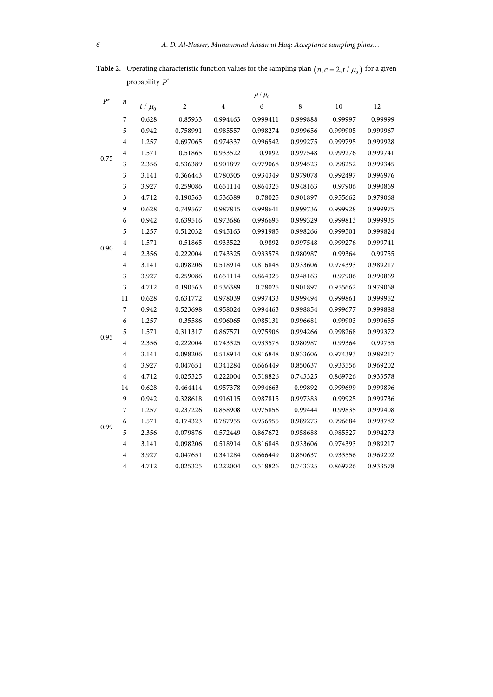|       |                         |           |                |          | $\mu$ / $\mu_{\scriptscriptstyle 0}$ |             |          |          |
|-------|-------------------------|-----------|----------------|----------|--------------------------------------|-------------|----------|----------|
| $P^*$ | $\boldsymbol{n}$        | $t/\mu_0$ | $\overline{c}$ | $\bf 4$  | 6                                    | $\,$ 8 $\,$ | 10       | 12       |
|       | $\boldsymbol{7}$        | 0.628     | 0.85933        | 0.994463 | 0.999411                             | 0.999888    | 0.99997  | 0.99999  |
|       | 5                       | 0.942     | 0.758991       | 0.985557 | 0.998274                             | 0.999656    | 0.999905 | 0.999967 |
|       | $\overline{4}$          | 1.257     | 0.697065       | 0.974337 | 0.996542                             | 0.999275    | 0.999795 | 0.999928 |
|       | $\overline{4}$          | 1.571     | 0.51865        | 0.933522 | 0.9892                               | 0.997548    | 0.999276 | 0.999741 |
| 0.75  | $\mathfrak{Z}$          | 2.356     | 0.536389       | 0.901897 | 0.979068                             | 0.994523    | 0.998252 | 0.999345 |
|       | 3                       | 3.141     | 0.366443       | 0.780305 | 0.934349                             | 0.979078    | 0.992497 | 0.996976 |
|       | $\overline{\mathbf{3}}$ | 3.927     | 0.259086       | 0.651114 | 0.864325                             | 0.948163    | 0.97906  | 0.990869 |
|       | $\overline{\mathbf{3}}$ | 4.712     | 0.190563       | 0.536389 | 0.78025                              | 0.901897    | 0.955662 | 0.979068 |
|       | 9                       | 0.628     | 0.749567       | 0.987815 | 0.998641                             | 0.999736    | 0.999928 | 0.999975 |
|       | 6                       | 0.942     | 0.639516       | 0.973686 | 0.996695                             | 0.999329    | 0.999813 | 0.999935 |
|       | 5                       | 1.257     | 0.512032       | 0.945163 | 0.991985                             | 0.998266    | 0.999501 | 0.999824 |
|       | $\overline{4}$          | 1.571     | 0.51865        | 0.933522 | 0.9892                               | 0.997548    | 0.999276 | 0.999741 |
| 0.90  | $\overline{4}$          | 2.356     | 0.222004       | 0.743325 | 0.933578                             | 0.980987    | 0.99364  | 0.99755  |
|       | $\overline{4}$          | 3.141     | 0.098206       | 0.518914 | 0.816848                             | 0.933606    | 0.974393 | 0.989217 |
|       | $\mathfrak{Z}$          | 3.927     | 0.259086       | 0.651114 | 0.864325                             | 0.948163    | 0.97906  | 0.990869 |
|       | $\overline{\mathbf{3}}$ | 4.712     | 0.190563       | 0.536389 | 0.78025                              | 0.901897    | 0.955662 | 0.979068 |
|       | 11                      | 0.628     | 0.631772       | 0.978039 | 0.997433                             | 0.999494    | 0.999861 | 0.999952 |
|       | $\overline{7}$          | 0.942     | 0.523698       | 0.958024 | 0.994463                             | 0.998854    | 0.999677 | 0.999888 |
|       | 6                       | 1.257     | 0.35586        | 0.906065 | 0.985131                             | 0.996681    | 0.99903  | 0.999655 |
|       | 5                       | 1.571     | 0.311317       | 0.867571 | 0.975906                             | 0.994266    | 0.998268 | 0.999372 |
| 0.95  | $\overline{4}$          | 2.356     | 0.222004       | 0.743325 | 0.933578                             | 0.980987    | 0.99364  | 0.99755  |
|       | $\overline{4}$          | 3.141     | 0.098206       | 0.518914 | 0.816848                             | 0.933606    | 0.974393 | 0.989217 |
|       | $\overline{4}$          | 3.927     | 0.047651       | 0.341284 | 0.666449                             | 0.850637    | 0.933556 | 0.969202 |
|       | $\overline{4}$          | 4.712     | 0.025325       | 0.222004 | 0.518826                             | 0.743325    | 0.869726 | 0.933578 |
|       | 14                      | 0.628     | 0.464414       | 0.957378 | 0.994663                             | 0.99892     | 0.999699 | 0.999896 |
|       | 9                       | 0.942     | 0.328618       | 0.916115 | 0.987815                             | 0.997383    | 0.99925  | 0.999736 |
|       | $\overline{7}$          | 1.257     | 0.237226       | 0.858908 | 0.975856                             | 0.99444     | 0.99835  | 0.999408 |
| 0.99  | 6                       | 1.571     | 0.174323       | 0.787955 | 0.956955                             | 0.989273    | 0.996684 | 0.998782 |
|       | 5                       | 2.356     | 0.079876       | 0.572449 | 0.867672                             | 0.958688    | 0.985527 | 0.994273 |
|       | $\overline{4}$          | 3.141     | 0.098206       | 0.518914 | 0.816848                             | 0.933606    | 0.974393 | 0.989217 |
|       | 4                       | 3.927     | 0.047651       | 0.341284 | 0.666449                             | 0.850637    | 0.933556 | 0.969202 |
|       | 4                       | 4.712     | 0.025325       | 0.222004 | 0.518826                             | 0.743325    | 0.869726 | 0.933578 |

**Table 2.** Operating characteristic function values for the sampling plan  $(n, c = 2, t / \mu_0)$  for a given probability  $P^*$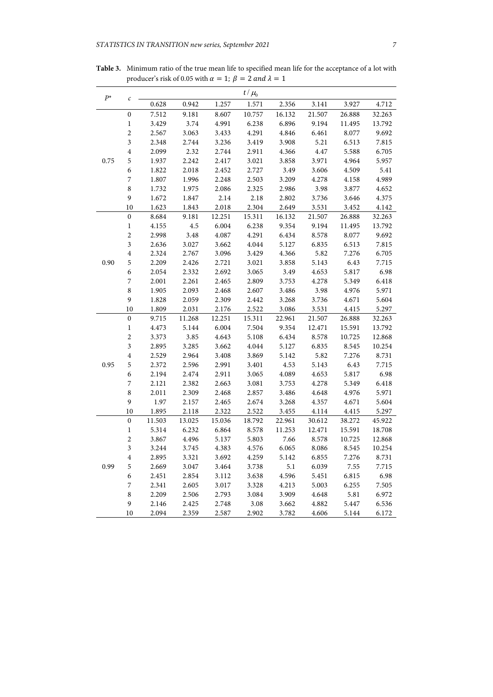| $P^*$ | $\mathcal{C}_{0}$       |        |           |        | $t/\mu_0$ |        |        |        |        |
|-------|-------------------------|--------|-----------|--------|-----------|--------|--------|--------|--------|
|       |                         | 0.628  | 0.942     | 1.257  | 1.571     | 2.356  | 3.141  | 3.927  | 4.712  |
|       | $\boldsymbol{0}$        | 7.512  | 9.181     | 8.607  | 10.757    | 16.132 | 21.507 | 26.888 | 32.263 |
|       | $\mathbf{1}$            | 3.429  | 3.74      | 4.991  | 6.238     | 6.896  | 9.194  | 11.495 | 13.792 |
|       | $\overline{c}$          | 2.567  | 3.063     | 3.433  | 4.291     | 4.846  | 6.461  | 8.077  | 9.692  |
|       | $\mathfrak{Z}$          | 2.348  | 2.744     | 3.236  | 3.419     | 3.908  | 5.21   | 6.513  | 7.815  |
|       | $\overline{4}$          | 2.099  | 2.32      | 2.744  | 2.911     | 4.366  | 4.47   | 5.588  | 6.705  |
| 0.75  | $\mathfrak s$           | 1.937  | 2.242     | 2.417  | 3.021     | 3.858  | 3.971  | 4.964  | 5.957  |
|       | 6                       | 1.822  | 2.018     | 2.452  | 2.727     | 3.49   | 3.606  | 4.509  | 5.41   |
|       | 7                       | 1.807  | 1.996     | 2.248  | 2.503     | 3.209  | 4.278  | 4.158  | 4.989  |
|       | 8                       | 1.732  | 1.975     | 2.086  | 2.325     | 2.986  | 3.98   | 3.877  | 4.652  |
|       | 9                       | 1.672  | $1.847\,$ | 2.14   | 2.18      | 2.802  | 3.736  | 3.646  | 4.375  |
|       | 10                      | 1.623  | 1.843     | 2.018  | 2.304     | 2.649  | 3.531  | 3.452  | 4.142  |
|       | 0                       | 8.684  | 9.181     | 12.251 | 15.311    | 16.132 | 21.507 | 26.888 | 32.263 |
|       | $\mathbf{1}$            | 4.155  | $4.5\,$   | 6.004  | 6.238     | 9.354  | 9.194  | 11.495 | 13.792 |
|       | $\overline{c}$          | 2.998  | 3.48      | 4.087  | 4.291     | 6.434  | 8.578  | 8.077  | 9.692  |
|       | $\mathfrak{Z}$          | 2.636  | 3.027     | 3.662  | 4.044     | 5.127  | 6.835  | 6.513  | 7.815  |
| 0.90  | $\overline{\mathbf{4}}$ | 2.324  | 2.767     | 3.096  | 3.429     | 4.366  | 5.82   | 7.276  | 6.705  |
|       | $\mathfrak s$           | 2.209  | 2.426     | 2.721  | 3.021     | 3.858  | 5.143  | 6.43   | 7.715  |
|       | 6                       | 2.054  | 2.332     | 2.692  | 3.065     | 3.49   | 4.653  | 5.817  | 6.98   |
|       | 7                       | 2.001  | 2.261     | 2.465  | 2.809     | 3.753  | 4.278  | 5.349  | 6.418  |
|       | $\,8$                   | 1.905  | 2.093     | 2.468  | 2.607     | 3.486  | 3.98   | 4.976  | 5.971  |
|       | $\boldsymbol{9}$        | 1.828  | 2.059     | 2.309  | 2.442     | 3.268  | 3.736  | 4.671  | 5.604  |
|       | 10                      | 1.809  | 2.031     | 2.176  | 2.522     | 3.086  | 3.531  | 4.415  | 5.297  |
|       | $\boldsymbol{0}$        | 9.715  | 11.268    | 12.251 | 15.311    | 22.961 | 21.507 | 26.888 | 32.263 |
|       | $\,1$                   | 4.473  | 5.144     | 6.004  | 7.504     | 9.354  | 12.471 | 15.591 | 13.792 |
|       | $\sqrt{2}$              | 3.373  | 3.85      | 4.643  | 5.108     | 6.434  | 8.578  | 10.725 | 12.868 |
|       | $\mathfrak{Z}$          | 2.895  | 3.285     | 3.662  | 4.044     | 5.127  | 6.835  | 8.545  | 10.254 |
|       | $\overline{\mathbf{4}}$ | 2.529  | 2.964     | 3.408  | 3.869     | 5.142  | 5.82   | 7.276  | 8.731  |
| 0.95  | 5                       | 2.372  | 2.596     | 2.991  | 3.401     | 4.53   | 5.143  | 6.43   | 7.715  |
|       | 6                       | 2.194  | 2.474     | 2.911  | 3.065     | 4.089  | 4.653  | 5.817  | 6.98   |
|       | 7                       | 2.121  | 2.382     | 2.663  | 3.081     | 3.753  | 4.278  | 5.349  | 6.418  |
|       | 8                       | 2.011  | 2.309     | 2.468  | 2.857     | 3.486  | 4.648  | 4.976  | 5.971  |
|       | 9                       | 1.97   | 2.157     | 2.465  | 2.674     | 3.268  | 4.357  | 4.671  | 5.604  |
|       | 10                      | 1.895  | 2.118     | 2.322  | 2.522     | 3.455  | 4.114  | 4.415  | 5.297  |
|       | $\boldsymbol{0}$        | 11.503 | 13.025    | 15.036 | 18.792    | 22.961 | 30.612 | 38.272 | 45.922 |
|       | $\mathbf{1}$            | 5.314  | 6.232     | 6.864  | 8.578     | 11.253 | 12.471 | 15.591 | 18.708 |
|       | $\overline{c}$          | 3.867  | 4.496     | 5.137  | 5.803     | 7.66   | 8.578  | 10.725 | 12.868 |
|       | 3                       | 3.244  | 3.745     | 4.383  | 4.576     | 6.065  | 8.086  | 8.545  | 10.254 |
|       | $\bf 4$                 | 2.895  | 3.321     | 3.692  | 4.259     | 5.142  | 6.855  | 7.276  | 8.731  |
| 0.99  | 5                       | 2.669  | 3.047     | 3.464  | 3.738     | 5.1    | 6.039  | 7.55   | 7.715  |
|       | 6                       | 2.451  | 2.854     | 3.112  | 3.638     | 4.596  | 5.451  | 6.815  | 6.98   |
|       | 7                       | 2.341  | 2.605     | 3.017  | 3.328     | 4.213  | 5.003  | 6.255  | 7.505  |
|       | 8                       | 2.209  | 2.506     | 2.793  | 3.084     | 3.909  | 4.648  | 5.81   | 6.972  |
|       | 9                       | 2.146  | 2.425     | 2.748  | 3.08      | 3.662  | 4.882  | 5.447  | 6.536  |
|       | 10                      | 2.094  | 2.359     | 2.587  | 2.902     | 3.782  | 4.606  | 5.144  | 6.172  |

**Table 3.** Minimum ratio of the true mean life to specified mean life for the acceptance of a lot with producer's risk of 0.05 with  $\alpha = 1$ ;  $\beta = 2$  and  $\lambda = 1$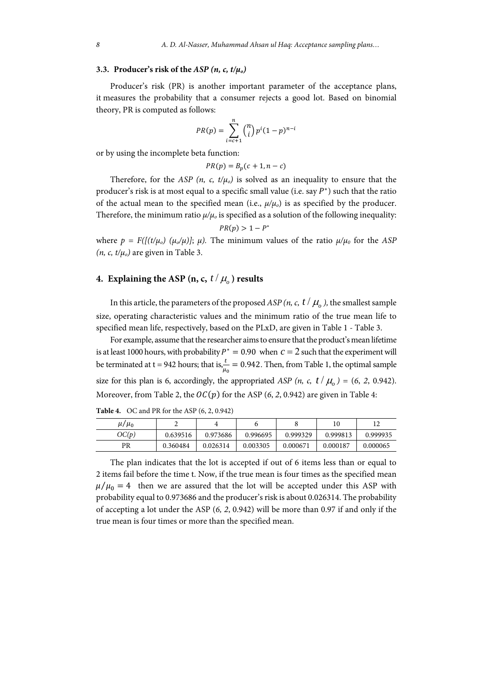### **3.3. Producer's risk of the** *ASP (n, c, t/μo)*

Producer's risk (PR) is another important parameter of the acceptance plans, it measures the probability that a consumer rejects a good lot. Based on binomial theory, PR is computed as follows:

$$
PR(p) = \sum_{i=c+1}^{n} {n \choose i} p^{i} (1-p)^{n-i}
$$

or by using the incomplete beta function:

$$
PR(p) = B_p(c + 1, n - c)
$$

Therefore, for the *ASP* (*n*, *c*,  $t/\mu_o$ ) is solved as an inequality to ensure that the producer's risk is at most equal to a specific small value (i.e. say  $P^*$ ) such that the ratio of the actual mean to the specified mean (i.e.,  $\mu/\mu_o$ ) is as specified by the producer. Therefore, the minimum ratio  $\mu/\mu_0$  is specified as a solution of the following inequality:  $PR(p) > 1 - P^*$ 

where  $p = F(\frac{f(t/\mu_0)}{\mu_0/\mu})$ ;  $\mu$ ). The minimum values of the ratio  $\mu/\mu_0$  for the *ASP*  $(n, c, t/\mu_o)$  are given in Table 3.

# **4.** Explaining the ASP  $(n, c, t / \mu)$  results

In this article, the parameters of the proposed *ASP* (*n*, *c*,  $t / \mu_a$ ), the smallest sample size, operating characteristic values and the minimum ratio of the true mean life to specified mean life, respectively, based on the PLxD, are given in Table 1 - Table 3.

For example, assume that the researcher aims to ensure that the product's mean lifetime is at least 1000 hours, with probability  $P^* = 0.90$  when  $c = 2$  such that the experiment will be terminated at t = 942 hours; that is,  $\frac{t}{\mu_0}$  = 0.942. Then, from Table 1, the optimal sample size for this plan is 6, accordingly, the appropriated *ASP*  $(n, c, t \mid \mu_0) = (6, 2, 0.942)$ . Moreover, from Table 2, the  $OC(p)$  for the ASP (6, 2, 0.942) are given in Table 4:

**Table 4.** OC and PR for the ASP (6, 2, 0.942)

| $\mu/\mu_0$ |          |          |          |          | 10       |          |
|-------------|----------|----------|----------|----------|----------|----------|
| OC(p)       | 0.639516 | 0.973686 | 0.996695 | 0.999329 | 0.999813 | 0.999935 |
| PR          | 0.360484 | 0.026314 | 0.003305 | 0.000671 | 0.000187 | 0.000065 |

The plan indicates that the lot is accepted if out of 6 items less than or equal to 2 items fail before the time t. Now, if the true mean is four times as the specified mean  $\mu/\mu_0 = 4$  then we are assured that the lot will be accepted under this ASP with probability equal to 0.973686 and the producer's risk is about 0.026314. The probability of accepting a lot under the ASP (*6, 2*, 0.942) will be more than 0.97 if and only if the true mean is four times or more than the specified mean.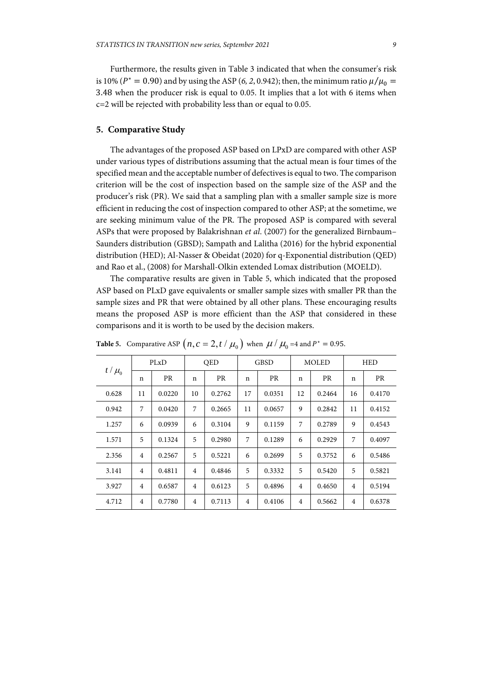Furthermore, the results given in Table 3 indicated that when the consumer's risk is 10% ( $P^* = 0.90$ ) and by using the ASP (6, 2, 0.942); then, the minimum ratio  $\mu/\mu_0 =$ 3.48 when the producer risk is equal to 0.05. It implies that a lot with 6 items when c=2 will be rejected with probability less than or equal to 0.05.

### **5. Comparative Study**

The advantages of the proposed ASP based on LPxD are compared with other ASP under various types of distributions assuming that the actual mean is four times of the specified mean and the acceptable number of defectives is equal to two. The comparison criterion will be the cost of inspection based on the sample size of the ASP and the producer's risk (PR). We said that a sampling plan with a smaller sample size is more efficient in reducing the cost of inspection compared to other ASP; at the sometime, we are seeking minimum value of the PR. The proposed ASP is compared with several ASPs that were proposed by Balakrishnan *et al*. (2007) for the generalized Birnbaum– Saunders distribution (GBSD); Sampath and Lalitha (2016) for the hybrid exponential distribution (HED); Al-Nasser & Obeidat (2020) for q-Exponential distribution (QED) and Rao et al., (2008) for Marshall-Olkin extended Lomax distribution (MOELD).

The comparative results are given in Table 5, which indicated that the proposed ASP based on PLxD gave equivalents or smaller sample sizes with smaller PR than the sample sizes and PR that were obtained by all other plans. These encouraging results means the proposed ASP is more efficient than the ASP that considered in these comparisons and it is worth to be used by the decision makers.

| $t/\mu_0$ | PLxD           |           | <b>OED</b>     |           | <b>GBSD</b>    |        | <b>MOLED</b>   |           | <b>HED</b>     |           |
|-----------|----------------|-----------|----------------|-----------|----------------|--------|----------------|-----------|----------------|-----------|
|           | n              | <b>PR</b> | n              | <b>PR</b> | $\mathbf n$    | PR     | n              | <b>PR</b> | $\mathbf n$    | <b>PR</b> |
| 0.628     | 11             | 0.0220    | 10             | 0.2762    | 17             | 0.0351 | 12             | 0.2464    | 16             | 0.4170    |
| 0.942     | 7              | 0.0420    | 7              | 0.2665    | 11             | 0.0657 | 9              | 0.2842    | 11             | 0.4152    |
| 1.257     | 6              | 0.0939    | 6              | 0.3104    | 9              | 0.1159 | 7              | 0.2789    | 9              | 0.4543    |
| 1.571     | 5              | 0.1324    | 5              | 0.2980    | 7              | 0.1289 | 6              | 0.2929    | 7              | 0.4097    |
| 2.356     | $\overline{4}$ | 0.2567    | 5              | 0.5221    | 6              | 0.2699 | 5              | 0.3752    | 6              | 0.5486    |
| 3.141     | $\overline{4}$ | 0.4811    | 4              | 0.4846    | 5              | 0.3332 | 5              | 0.5420    | 5              | 0.5821    |
| 3.927     | $\overline{4}$ | 0.6587    | $\overline{4}$ | 0.6123    | 5              | 0.4896 | $\overline{4}$ | 0.4650    | $\overline{4}$ | 0.5194    |
| 4.712     | $\overline{4}$ | 0.7780    | $\overline{4}$ | 0.7113    | $\overline{4}$ | 0.4106 | 4              | 0.5662    | $\overline{4}$ | 0.6378    |

**Table 5.** Comparative ASP  $\left(n, c = 2, t \mid \mu_0\right)$  when  $\mu \mid \mu_0 = 4$  and  $P^* = 0.95$ .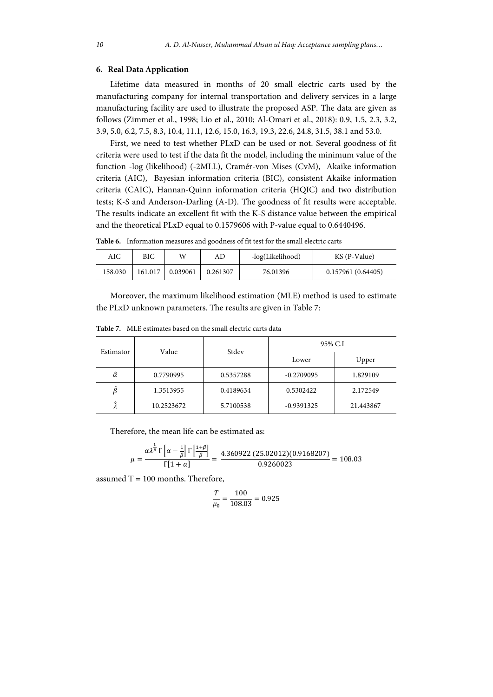### **6. Real Data Application**

Lifetime data measured in months of 20 small electric carts used by the manufacturing company for internal transportation and delivery services in a large manufacturing facility are used to illustrate the proposed ASP. The data are given as follows (Zimmer et al., 1998; Lio et al., 2010; Al-Omari et al., 2018): 0.9, 1.5, 2.3, 3.2, 3.9, 5.0, 6.2, 7.5, 8.3, 10.4, 11.1, 12.6, 15.0, 16.3, 19.3, 22.6, 24.8, 31.5, 38.1 and 53.0.

First, we need to test whether PLxD can be used or not. Several goodness of fit criteria were used to test if the data fit the model, including the minimum value of the function -log (likelihood) (-2MLL), Cramér-von Mises (CvM), Akaike information criteria (AIC), Bayesian information criteria (BIC), consistent Akaike information criteria (CAIC), Hannan-Quinn information criteria (HQIC) and two distribution tests; K-S and Anderson-Darling (A-D). The goodness of fit results were acceptable. The results indicate an excellent fit with the K-S distance value between the empirical and the theoretical PLxD equal to 0.1579606 with P-value equal to 0.6440496.

**Table 6.** Information measures and goodness of fit test for the small electric carts

| AIC     | ВIС     | W        | AD       | -log(Likelihood) | KS (P-Value)       |
|---------|---------|----------|----------|------------------|--------------------|
| 158.030 | 161.017 | 0.039061 | 0.261307 | 76.01396         | 0.157961 (0.64405) |

Moreover, the maximum likelihood estimation (MLE) method is used to estimate the PLxD unknown parameters. The results are given in Table 7:

| Estimator | Value      | Stdev     | 95% C.I      |           |  |  |
|-----------|------------|-----------|--------------|-----------|--|--|
|           |            |           | Lower        | Upper     |  |  |
| â         | 0.7790995  | 0.5357288 | $-0.2709095$ | 1.829109  |  |  |
|           | 1.3513955  | 0.4189634 | 0.5302422    | 2.172549  |  |  |
|           | 10.2523672 | 5.7100538 | $-0.9391325$ | 21.443867 |  |  |

**Table 7.** MLE estimates based on the small electric carts data

Therefore, the mean life can be estimated as:

$$
\mu = \frac{\alpha \lambda^{\frac{1}{\beta}} \Gamma\left[\alpha - \frac{1}{\beta}\right] \Gamma\left[\frac{1+\beta}{\beta}\right]}{\Gamma[1+\alpha]} = \frac{4.360922 (25.02012)(0.9168207)}{0.9260023} = 108.03
$$

assumed  $T = 100$  months. Therefore,

$$
\frac{T}{\mu_0} = \frac{100}{108.03} = 0.925
$$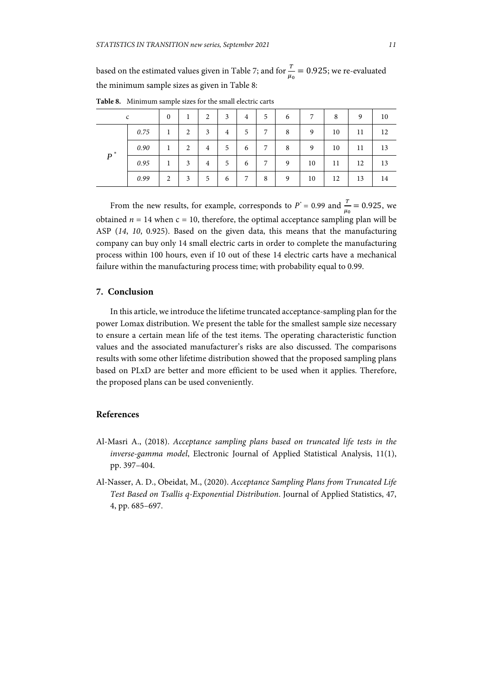based on the estimated values given in Table 7; and for  $\frac{r}{\mu_0} = 0.925$ ; we re-evaluated the minimum sample sizes as given in Table 8:

| $\mathsf{C}$ |      | $\mathbf{0}$ |   | $\overline{2}$ | 3 | 4 | 5 | 6 | 7  | 8  | 9  | 10 |
|--------------|------|--------------|---|----------------|---|---|---|---|----|----|----|----|
| $P^*$        | 0.75 |              | 2 | 3              | 4 | 5 | 7 | 8 | 9  | 10 | 11 | 12 |
|              | 0.90 |              | 2 | 4              | 5 | 6 | 7 | 8 | 9  | 10 | 11 | 13 |
|              | 0.95 |              | 3 | 4              | 5 | 6 | 7 | 9 | 10 | 11 | 12 | 13 |
|              | 0.99 | 2            | 3 | 5              | 6 | 7 | 8 | 9 | 10 | 12 | 13 | 14 |

**Table 8.** Minimum sample sizes for the small electric carts

From the new results, for example, corresponds to  $P^* = 0.99$  and  $\frac{T}{\mu_0} = 0.925$ , we obtained  $n = 14$  when  $c = 10$ , therefore, the optimal acceptance sampling plan will be ASP (*14*, *10*, 0.925). Based on the given data, this means that the manufacturing company can buy only 14 small electric carts in order to complete the manufacturing process within 100 hours, even if 10 out of these 14 electric carts have a mechanical failure within the manufacturing process time; with probability equal to 0.99.

## **7. Conclusion**

In this article, we introduce the lifetime truncated acceptance-sampling plan for the power Lomax distribution. We present the table for the smallest sample size necessary to ensure a certain mean life of the test items. The operating characteristic function values and the associated manufacturer's risks are also discussed. The comparisons results with some other lifetime distribution showed that the proposed sampling plans based on PLxD are better and more efficient to be used when it applies. Therefore, the proposed plans can be used conveniently.

# **References**

- Al-Masri A., (2018). *Acceptance sampling plans based on truncated life tests in the inverse-gamma model*, Electronic Journal of Applied Statistical Analysis, 11(1), pp. 397–404.
- Al-Nasser, A. D., Obeidat, M., (2020). *Acceptance Sampling Plans from Truncated Life Test Based on Tsallis q-Exponential Distribution*. Journal of Applied Statistics, 47, 4, pp. 685–697.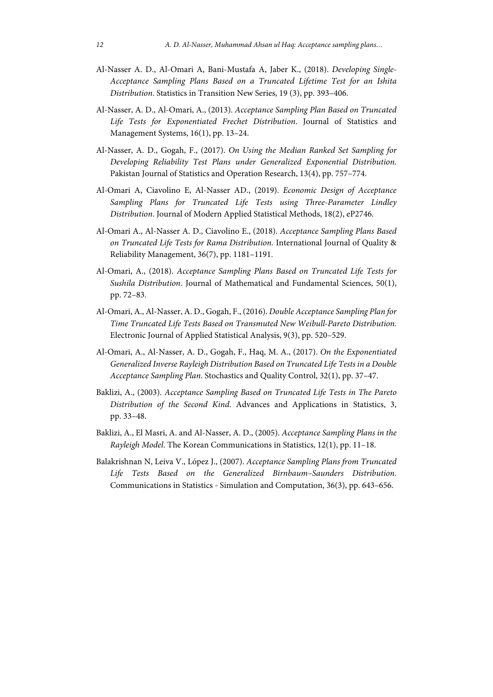- Al-Nasser A. D., Al-Omari A, Bani-Mustafa A, Jaber K., (2018). *Developing Single-Acceptance Sampling Plans Based on a Truncated Lifetime Test for an Ishita Distribution*. Statistics in Transition New Series, 19 (3), pp. 393–406.
- Al-Nasser, A. D., Al-Omari, A., (2013). *Acceptance Sampling Plan Based on Truncated Life Tests for Exponentiated Frechet Distribution*. Journal of Statistics and Management Systems, 16(1), pp. 13–24.
- Al-Nasser, A. D., Gogah, F., (2017). *On Using the Median Ranked Set Sampling for Developing Reliability Test Plans under Generalized Exponential Distribution*. Pakistan Journal of Statistics and Operation Research, 13(4), pp. 757–774.
- Al-Omari A, Ciavolino E, Al-Nasser AD., (2019). *Economic Design of Acceptance Sampling Plans for Truncated Life Tests using Three-Parameter Lindley Distribution*. Journal of Modern Applied Statistical Methods, 18(2), eP2746.
- Al-Omari A., Al-Nasser A. D., Ciavolino E., (2018). *Acceptance Sampling Plans Based on Truncated Life Tests for Rama Distribution.* International Journal of Quality & Reliability Management, 36(7), pp. 1181–1191.
- Al-Omari, A., (2018). *Acceptance Sampling Plans Based on Truncated Life Tests for Sushila Distribution*. Journal of Mathematical and Fundamental Sciences, 50(1), pp. 72–83.
- Al-Omari, A., Al-Nasser, A. D., Gogah, F., (2016). *Double Acceptance Sampling Plan for Time Truncated Life Tests Based on Transmuted New Weibull-Pareto Distribution*. Electronic Journal of Applied Statistical Analysis, 9(3), pp. 520–529.
- Al-Omari, A., Al-Nasser, A. D., Gogah, F., Haq, M. A., (2017). *On the Exponentiated Generalized Inverse Rayleigh Distribution Based on Truncated Life Tests in a Double Acceptance Sampling Plan*. Stochastics and Quality Control, 32(1), pp. 37–47.
- Baklizi, A., (2003). *Acceptance Sampling Based on Truncated Life Tests in The Pareto Distribution of the Second Kind*. Advances and Applications in Statistics, 3, pp. 33–48.
- Baklizi, A., El Masri, A. and Al-Nasser, A. D., (2005). *Acceptance Sampling Plans in the Rayleigh Model*. The Korean Communications in Statistics, 12(1), pp. 11–18.
- Balakrishnan N, Leiva V., López J., (2007). *Acceptance Sampling Plans from Truncated Life Tests Based on the Generalized Birnbaum–Saunders Distribution*. Communications in Statistics - Simulation and Computation, 36(3), pp. 643–656.